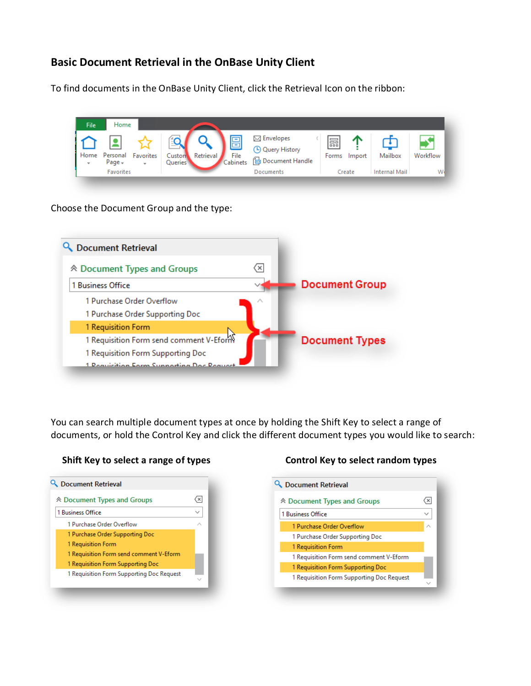# **Basic Document Retrieval in the OnBase Unity Client**

To find documents in the OnBase Unity Client, click the Retrieval Icon on the ribbon:

| <b>File</b>                           | Home                    |                           |                                       |           |                                              |                                                                    |            |        |               |          |
|---------------------------------------|-------------------------|---------------------------|---------------------------------------|-----------|----------------------------------------------|--------------------------------------------------------------------|------------|--------|---------------|----------|
| Home 1<br>$\mathcal{L}_{\mathcal{F}}$ | Personal<br>Page $\sim$ | Favorites<br>$\mathbf{v}$ | $-$<br>Custon<br>Queries <sup>1</sup> | Retrieval | $\overline{\phantom{a}}$<br>File<br>Cabinets | $\boxtimes$ Envelopes<br><b>4</b> Query History<br>Document Handle | 諞<br>Forms | Import | Mailbox       | Workflow |
|                                       | <b>Favorites</b>        |                           |                                       |           |                                              | Documents                                                          |            | Create | Internal Mail | W.       |

Choose the Document Group and the type:



You can search multiple document types at once by holding the Shift Key to select a range of documents, or hold the Control Key and click the different document types you would like to search:



### **Shift Key to select a range of types Control Key to select random types**

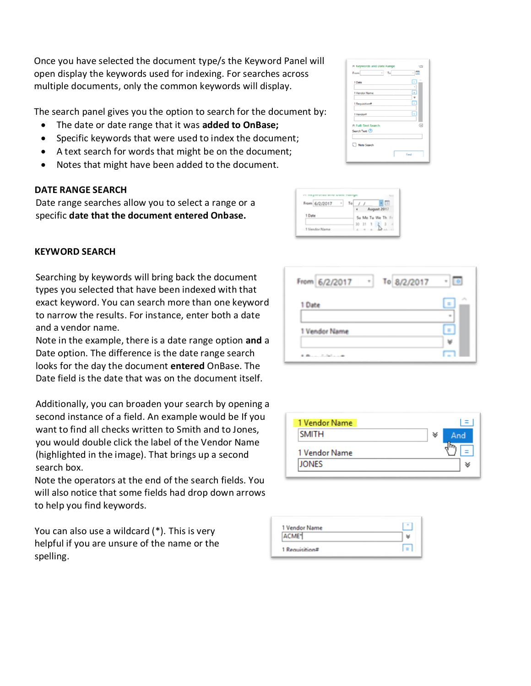Once you have selected the document type/s the Keyword Panel will open display the keywords used for indexing. For searches across multiple documents, only the common keywords will display.

The search panel gives you the option to search for the document by:

- The date or date range that it was **added to OnBase;**
- Specific keywords that were used to index the document;
- A text search for words that might be on the document;
- Notes that might have been added to the document.

## **DATE RANGE SEARCH**

Date range searches allow you to select a range or a specific **date that the document entered Onbase.**

## **KEYWORD SEARCH**

Searching by keywords will bring back the document types you selected that have been indexed with that exact keyword. You can search more than one keyword to narrow the results. For instance, enter both a date and a vendor name.

Note in the example, there is a date range option **and** a Date option. The difference is the date range search looks for the day the document **entered** OnBase. The Date field is the date that was on the document itself.

Additionally, you can broaden your search by opening a second instance of a field. An example would be If you want to find all checks written to Smith and to Jones, you would double click the label of the Vendor Name (highlighted in the image). That brings up a second search box.

Note the operators at the end of the search fields. You will also notice that some fields had drop down arrows to help you find keywords.

You can also use a wildcard (\*). This is very helpful if you are unsure of the name or the spelling.





| To 8/2/2017<br>From 6/2/2017     |  |
|----------------------------------|--|
| 1 Date                           |  |
| 1 Vendor Name                    |  |
| discussion of the first party of |  |

| 1 Vendor Name |   |     |
|---------------|---|-----|
| <b>SMITH</b>  | ∀ | And |
| 1 Vendor Name |   |     |
| <b>JONES</b>  |   |     |

| 1 Vendor Name  |         |
|----------------|---------|
| ACME*          |         |
| 1 Requisition# | $l = l$ |